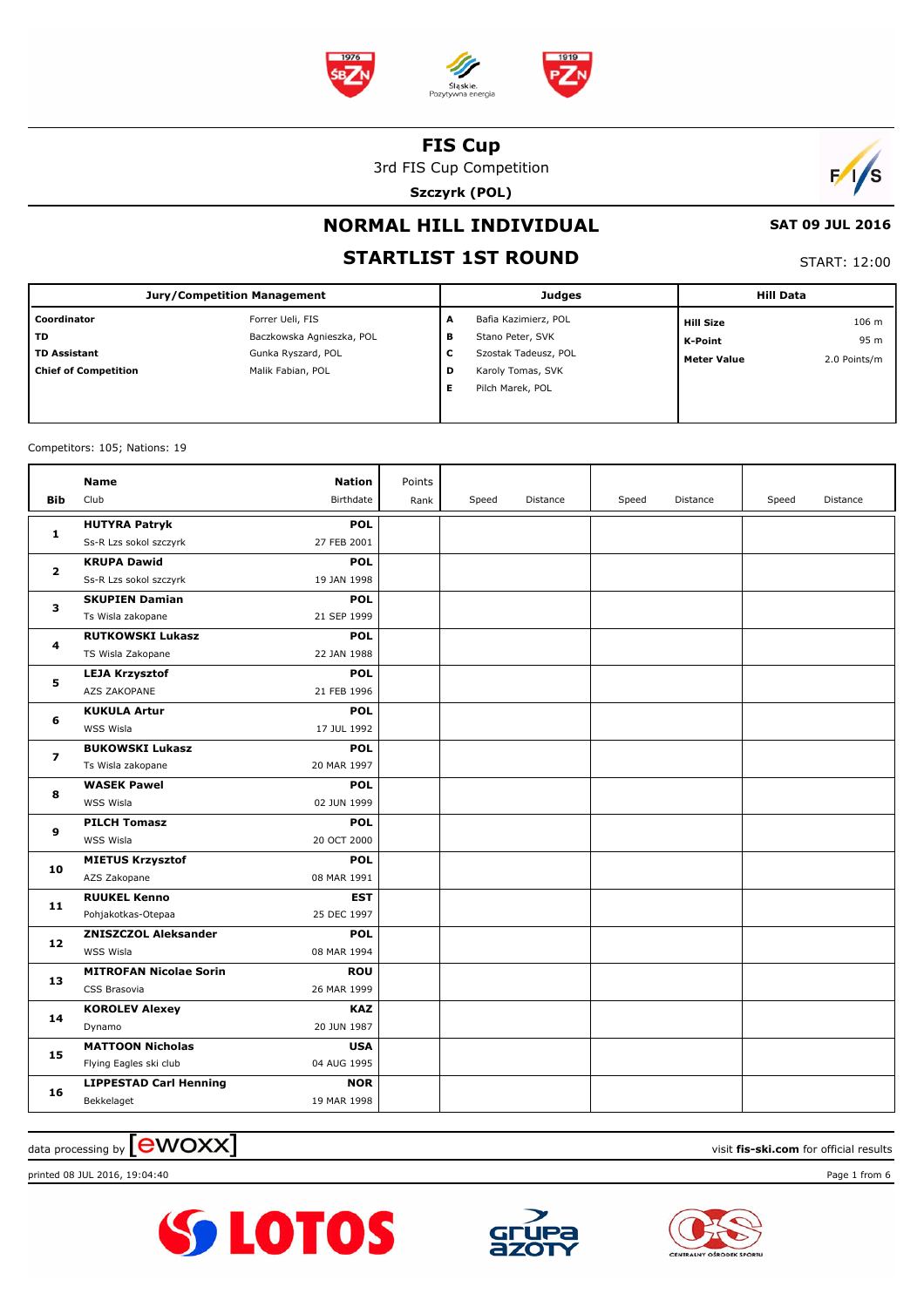

3rd FIS Cup Competition

**Szczyrk (POL)**



#### **SAT 09 JUL 2016**

# **NORMAL HILL INDIVIDUAL STARTLIST 1ST ROUND**

START: 12:00

| Jury/Competition Management |                           |   | <b>Judges</b>        | <b>Hill Data</b>   |              |
|-----------------------------|---------------------------|---|----------------------|--------------------|--------------|
| Coordinator                 | Forrer Ueli, FIS          | A | Bafia Kazimierz, POL | <b>Hill Size</b>   | 106 m        |
| l TD                        | Baczkowska Agnieszka, POL | в | Stano Peter, SVK     | K-Point            | 95 m         |
| TD Assistant                | Gunka Ryszard, POL        | c | Szostak Tadeusz, POL | <b>Meter Value</b> | 2.0 Points/m |
| <b>Chief of Competition</b> | Malik Fabian, POL         | D | Karoly Tomas, SVK    |                    |              |
|                             |                           | Е | Pilch Marek, POL     |                    |              |
|                             |                           |   |                      |                    |              |

Competitors: 105; Nations: 19

|                | <b>Name</b>                   | <b>Nation</b> | Points |       |          |       |          |       |          |
|----------------|-------------------------------|---------------|--------|-------|----------|-------|----------|-------|----------|
| <b>Bib</b>     | Club                          | Birthdate     | Rank   | Speed | Distance | Speed | Distance | Speed | Distance |
|                | <b>HUTYRA Patryk</b>          | <b>POL</b>    |        |       |          |       |          |       |          |
| 1              | Ss-R Lzs sokol szczyrk        | 27 FEB 2001   |        |       |          |       |          |       |          |
| $\mathbf{2}$   | <b>KRUPA Dawid</b>            | <b>POL</b>    |        |       |          |       |          |       |          |
|                | Ss-R Lzs sokol szczyrk        | 19 JAN 1998   |        |       |          |       |          |       |          |
| 3              | <b>SKUPIEN Damian</b>         | <b>POL</b>    |        |       |          |       |          |       |          |
|                | Ts Wisla zakopane             | 21 SEP 1999   |        |       |          |       |          |       |          |
|                | <b>RUTKOWSKI Lukasz</b>       | <b>POL</b>    |        |       |          |       |          |       |          |
| 4              | TS Wisla Zakopane             | 22 JAN 1988   |        |       |          |       |          |       |          |
| 5              | <b>LEJA Krzysztof</b>         | <b>POL</b>    |        |       |          |       |          |       |          |
|                | AZS ZAKOPANE                  | 21 FEB 1996   |        |       |          |       |          |       |          |
| 6              | <b>KUKULA Artur</b>           | <b>POL</b>    |        |       |          |       |          |       |          |
|                | WSS Wisla                     | 17 JUL 1992   |        |       |          |       |          |       |          |
| $\overline{ }$ | <b>BUKOWSKI Lukasz</b>        | <b>POL</b>    |        |       |          |       |          |       |          |
|                | Ts Wisla zakopane             | 20 MAR 1997   |        |       |          |       |          |       |          |
| 8              | <b>WASEK Pawel</b>            | <b>POL</b>    |        |       |          |       |          |       |          |
|                | WSS Wisla                     | 02 JUN 1999   |        |       |          |       |          |       |          |
| 9              | <b>PILCH Tomasz</b>           | <b>POL</b>    |        |       |          |       |          |       |          |
|                | WSS Wisla                     | 20 OCT 2000   |        |       |          |       |          |       |          |
| 10             | <b>MIETUS Krzysztof</b>       | <b>POL</b>    |        |       |          |       |          |       |          |
|                | AZS Zakopane                  | 08 MAR 1991   |        |       |          |       |          |       |          |
| 11             | <b>RUUKEL Kenno</b>           | EST           |        |       |          |       |          |       |          |
|                | Pohjakotkas-Otepaa            | 25 DEC 1997   |        |       |          |       |          |       |          |
| 12             | <b>ZNISZCZOL Aleksander</b>   | <b>POL</b>    |        |       |          |       |          |       |          |
|                | WSS Wisla                     | 08 MAR 1994   |        |       |          |       |          |       |          |
| 13             | <b>MITROFAN Nicolae Sorin</b> | <b>ROU</b>    |        |       |          |       |          |       |          |
|                | CSS Brasovia                  | 26 MAR 1999   |        |       |          |       |          |       |          |
| 14             | <b>KOROLEV Alexey</b>         | <b>KAZ</b>    |        |       |          |       |          |       |          |
|                | Dynamo                        | 20 JUN 1987   |        |       |          |       |          |       |          |
| 15             | <b>MATTOON Nicholas</b>       | <b>USA</b>    |        |       |          |       |          |       |          |
|                | Flying Eagles ski club        | 04 AUG 1995   |        |       |          |       |          |       |          |
| 16             | <b>LIPPESTAD Carl Henning</b> | <b>NOR</b>    |        |       |          |       |          |       |          |
|                | Bekkelaget                    | 19 MAR 1998   |        |       |          |       |          |       |          |

 $\frac{1}{2}$  data processing by  $\boxed{\text{ewOX}}$ 

printed 08 JUL 2016, 19:04:40 Page 1 from 6





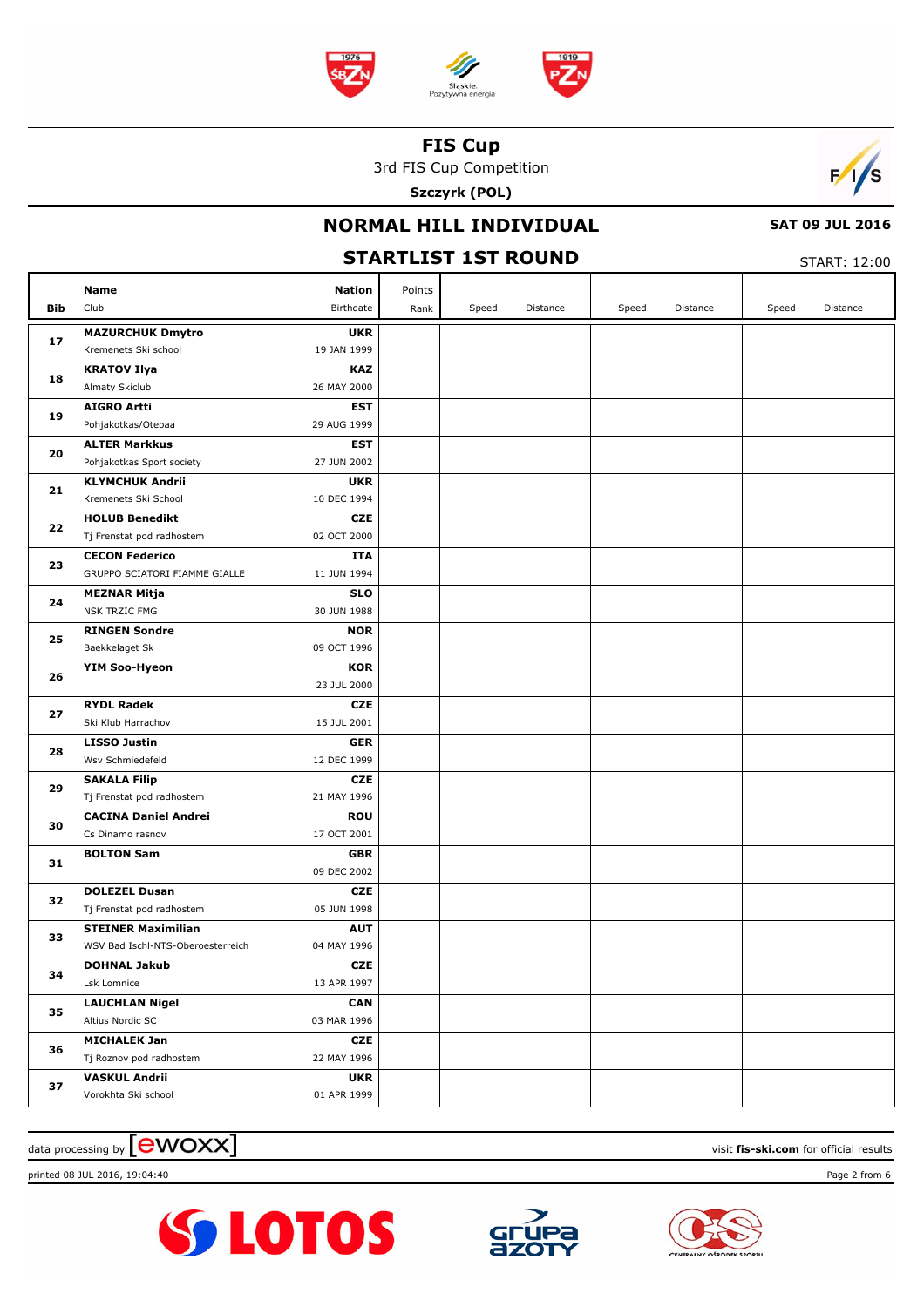

3rd FIS Cup Competition

**Szczyrk (POL)**



# **NORMAL HILL INDIVIDUAL**

 $CTADT: 12:00$ 

 **SAT 09 JUL 2016**

| <b>STARTLIST 1ST ROUND</b> |                                                     |                           |        |       |          |       |          |       | START: 12:00 |  |  |
|----------------------------|-----------------------------------------------------|---------------------------|--------|-------|----------|-------|----------|-------|--------------|--|--|
|                            | <b>Name</b>                                         | <b>Nation</b>             | Points |       |          |       |          |       |              |  |  |
| <b>Bib</b>                 | Club                                                | Birthdate                 | Rank   | Speed | Distance | Speed | Distance | Speed | Distance     |  |  |
|                            | <b>MAZURCHUK Dmytro</b>                             | <b>UKR</b>                |        |       |          |       |          |       |              |  |  |
| 17                         | Kremenets Ski school                                | 19 JAN 1999               |        |       |          |       |          |       |              |  |  |
| 18                         | <b>KRATOV Ilya</b>                                  | <b>KAZ</b>                |        |       |          |       |          |       |              |  |  |
|                            | Almaty Skiclub                                      | 26 MAY 2000               |        |       |          |       |          |       |              |  |  |
| 19                         | <b>AIGRO Artti</b>                                  | <b>EST</b>                |        |       |          |       |          |       |              |  |  |
|                            | Pohjakotkas/Otepaa                                  | 29 AUG 1999               |        |       |          |       |          |       |              |  |  |
| 20                         | <b>ALTER Markkus</b>                                | <b>EST</b>                |        |       |          |       |          |       |              |  |  |
|                            | Pohjakotkas Sport society<br><b>KLYMCHUK Andrii</b> | 27 JUN 2002<br><b>UKR</b> |        |       |          |       |          |       |              |  |  |
| 21                         | Kremenets Ski School                                | 10 DEC 1994               |        |       |          |       |          |       |              |  |  |
|                            | <b>HOLUB Benedikt</b>                               | <b>CZE</b>                |        |       |          |       |          |       |              |  |  |
| 22                         | Tj Frenstat pod radhostem                           | 02 OCT 2000               |        |       |          |       |          |       |              |  |  |
|                            | <b>CECON Federico</b>                               | <b>ITA</b>                |        |       |          |       |          |       |              |  |  |
| 23                         | GRUPPO SCIATORI FIAMME GIALLE                       | 11 JUN 1994               |        |       |          |       |          |       |              |  |  |
|                            | <b>MEZNAR Mitja</b>                                 | <b>SLO</b>                |        |       |          |       |          |       |              |  |  |
| 24                         | NSK TRZIC FMG                                       | 30 JUN 1988               |        |       |          |       |          |       |              |  |  |
| 25                         | <b>RINGEN Sondre</b>                                | <b>NOR</b>                |        |       |          |       |          |       |              |  |  |
|                            | Baekkelaget Sk                                      | 09 OCT 1996               |        |       |          |       |          |       |              |  |  |
| 26                         | <b>YIM Soo-Hyeon</b>                                | <b>KOR</b>                |        |       |          |       |          |       |              |  |  |
|                            |                                                     | 23 JUL 2000               |        |       |          |       |          |       |              |  |  |
| 27                         | <b>RYDL Radek</b><br>Ski Klub Harrachov             | <b>CZE</b><br>15 JUL 2001 |        |       |          |       |          |       |              |  |  |
|                            | <b>LISSO Justin</b>                                 | <b>GER</b>                |        |       |          |       |          |       |              |  |  |
| 28                         | Wsv Schmiedefeld                                    | 12 DEC 1999               |        |       |          |       |          |       |              |  |  |
|                            | <b>SAKALA Filip</b>                                 | <b>CZE</b>                |        |       |          |       |          |       |              |  |  |
| 29                         | Tj Frenstat pod radhostem                           | 21 MAY 1996               |        |       |          |       |          |       |              |  |  |
|                            | <b>CACINA Daniel Andrei</b>                         | <b>ROU</b>                |        |       |          |       |          |       |              |  |  |
| 30                         | Cs Dinamo rasnov                                    | 17 OCT 2001               |        |       |          |       |          |       |              |  |  |
| 31                         | <b>BOLTON Sam</b>                                   | <b>GBR</b>                |        |       |          |       |          |       |              |  |  |
|                            |                                                     | 09 DEC 2002               |        |       |          |       |          |       |              |  |  |
| 32                         | <b>DOLEZEL Dusan</b>                                | <b>CZE</b>                |        |       |          |       |          |       |              |  |  |
|                            | Tj Frenstat pod radhostem                           | 05 JUN 1998               |        |       |          |       |          |       |              |  |  |
| 33                         | <b>STEINER Maximilian</b>                           | <b>AUT</b>                |        |       |          |       |          |       |              |  |  |
|                            | WSV Bad Ischl-NTS-Oberoesterreich                   | 04 MAY 1996               |        |       |          |       |          |       |              |  |  |
| 34                         | <b>DOHNAL Jakub</b><br>Lsk Lomnice                  | CZE<br>13 APR 1997        |        |       |          |       |          |       |              |  |  |
|                            | <b>LAUCHLAN Nigel</b>                               | <b>CAN</b>                |        |       |          |       |          |       |              |  |  |
| 35                         | Altius Nordic SC                                    | 03 MAR 1996               |        |       |          |       |          |       |              |  |  |
|                            | <b>MICHALEK Jan</b>                                 | CZE                       |        |       |          |       |          |       |              |  |  |
| 36                         | Tj Roznov pod radhostem                             | 22 MAY 1996               |        |       |          |       |          |       |              |  |  |
|                            | <b>VASKUL Andrii</b>                                | <b>UKR</b>                |        |       |          |       |          |       |              |  |  |
| 37                         | Vorokhta Ski school                                 | 01 APR 1999               |        |       |          |       |          |       |              |  |  |

## $\frac{1}{2}$  data processing by  $\boxed{\text{ewOX}}$

printed 08 JUL 2016, 19:04:40 Page 2 from 6





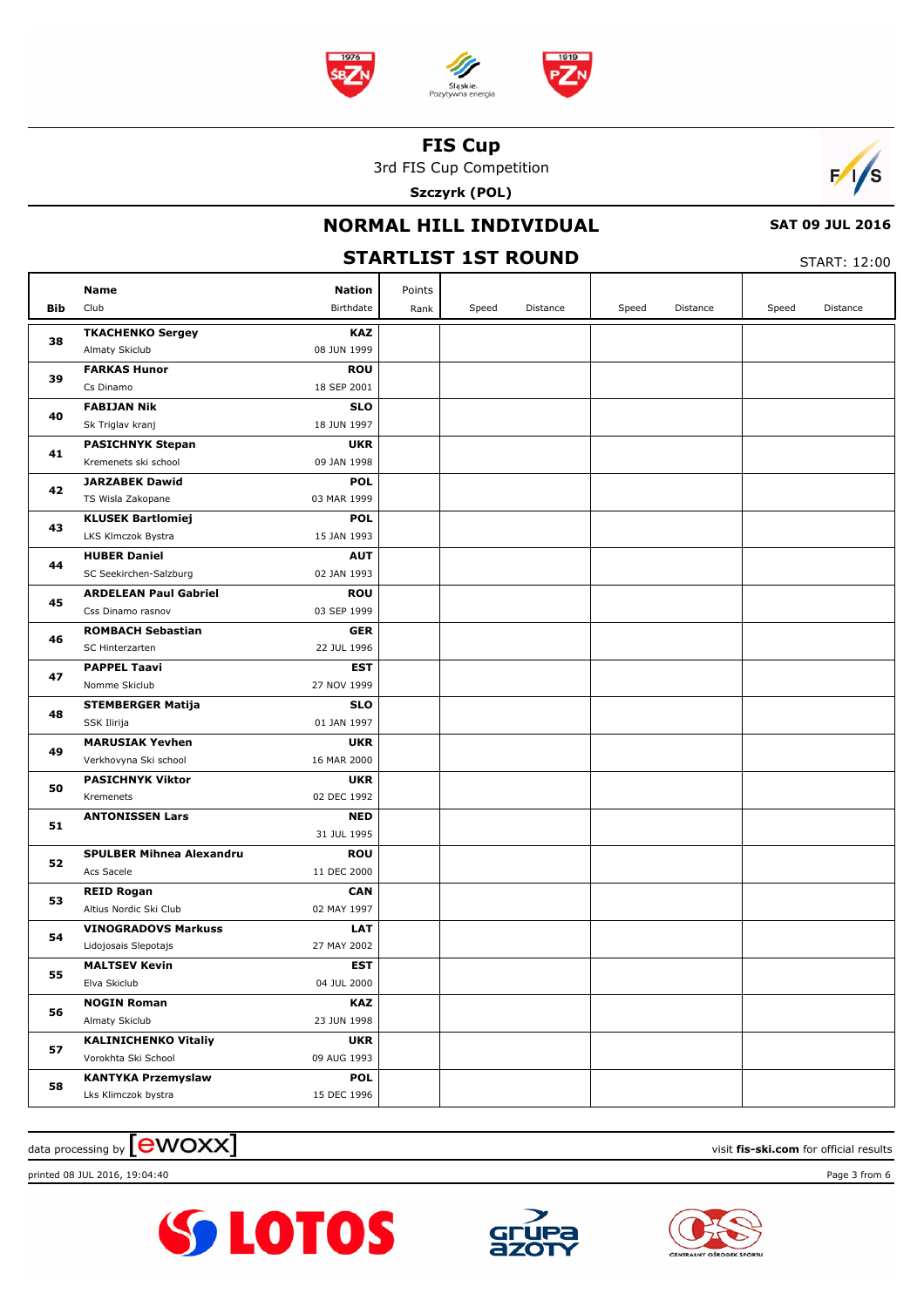

3rd FIS Cup Competition

**Szczyrk (POL)**



# **NORMAL HILL INDIVIDUAL**

 **SAT 09 JUL 2016**

|     | <b>STARTLIST 1ST ROUND</b>                      |                           |        |       |          |       |          |       |          |
|-----|-------------------------------------------------|---------------------------|--------|-------|----------|-------|----------|-------|----------|
|     | Name                                            | <b>Nation</b>             | Points |       |          |       |          |       |          |
| Bib | Club                                            | Birthdate                 | Rank   | Speed | Distance | Speed | Distance | Speed | Distance |
|     | <b>TKACHENKO Sergey</b>                         | <b>KAZ</b>                |        |       |          |       |          |       |          |
| 38  | Almaty Skiclub                                  | 08 JUN 1999               |        |       |          |       |          |       |          |
| 39  | <b>FARKAS Hunor</b>                             | <b>ROU</b>                |        |       |          |       |          |       |          |
|     | Cs Dinamo                                       | 18 SEP 2001               |        |       |          |       |          |       |          |
| 40  | <b>FABIJAN Nik</b>                              | <b>SLO</b>                |        |       |          |       |          |       |          |
|     | Sk Triglav kranj                                | 18 JUN 1997               |        |       |          |       |          |       |          |
| 41  | <b>PASICHNYK Stepan</b><br>Kremenets ski school | <b>UKR</b><br>09 JAN 1998 |        |       |          |       |          |       |          |
|     | <b>JARZABEK Dawid</b>                           | <b>POL</b>                |        |       |          |       |          |       |          |
| 42  | TS Wisla Zakopane                               | 03 MAR 1999               |        |       |          |       |          |       |          |
|     | <b>KLUSEK Bartlomiej</b>                        | <b>POL</b>                |        |       |          |       |          |       |          |
| 43  | LKS Klmczok Bystra                              | 15 JAN 1993               |        |       |          |       |          |       |          |
| 44  | <b>HUBER Daniel</b>                             | <b>AUT</b>                |        |       |          |       |          |       |          |
|     | SC Seekirchen-Salzburg                          | 02 JAN 1993               |        |       |          |       |          |       |          |
| 45  | <b>ARDELEAN Paul Gabriel</b>                    | <b>ROU</b>                |        |       |          |       |          |       |          |
|     | Css Dinamo rasnov                               | 03 SEP 1999               |        |       |          |       |          |       |          |
| 46  | <b>ROMBACH Sebastian</b>                        | <b>GER</b>                |        |       |          |       |          |       |          |
|     | SC Hinterzarten                                 | 22 JUL 1996               |        |       |          |       |          |       |          |
| 47  | <b>PAPPEL Taavi</b><br>Nomme Skiclub            | <b>EST</b><br>27 NOV 1999 |        |       |          |       |          |       |          |
|     | <b>STEMBERGER Matija</b>                        | <b>SLO</b>                |        |       |          |       |          |       |          |
| 48  | SSK Ilirija                                     | 01 JAN 1997               |        |       |          |       |          |       |          |
|     | <b>MARUSIAK Yevhen</b>                          | <b>UKR</b>                |        |       |          |       |          |       |          |
| 49  | Verkhovyna Ski school                           | 16 MAR 2000               |        |       |          |       |          |       |          |
|     | <b>PASICHNYK Viktor</b>                         | <b>UKR</b>                |        |       |          |       |          |       |          |
| 50  | Kremenets                                       | 02 DEC 1992               |        |       |          |       |          |       |          |
| 51  | <b>ANTONISSEN Lars</b>                          | <b>NED</b>                |        |       |          |       |          |       |          |
|     |                                                 | 31 JUL 1995               |        |       |          |       |          |       |          |
| 52  | <b>SPULBER Mihnea Alexandru</b>                 | <b>ROU</b>                |        |       |          |       |          |       |          |
|     | Acs Sacele                                      | 11 DEC 2000               |        |       |          |       |          |       |          |
| 53  | <b>REID Rogan</b><br>Altius Nordic Ski Club     | <b>CAN</b><br>02 MAY 1997 |        |       |          |       |          |       |          |
|     | <b>VINOGRADOVS Markuss</b>                      | <b>LAT</b>                |        |       |          |       |          |       |          |
| 54  | Lidojosais Slepotajs                            | 27 MAY 2002               |        |       |          |       |          |       |          |
|     | <b>MALTSEV Kevin</b>                            | <b>EST</b>                |        |       |          |       |          |       |          |
| 55  | Elva Skiclub                                    | 04 JUL 2000               |        |       |          |       |          |       |          |
|     | <b>NOGIN Roman</b>                              | <b>KAZ</b>                |        |       |          |       |          |       |          |
| 56  | Almaty Skiclub                                  | 23 JUN 1998               |        |       |          |       |          |       |          |
| 57  | <b>KALINICHENKO Vitaliy</b>                     | <b>UKR</b>                |        |       |          |       |          |       |          |
|     | Vorokhta Ski School                             | 09 AUG 1993               |        |       |          |       |          |       |          |
| 58  | <b>KANTYKA Przemyslaw</b>                       | <b>POL</b>                |        |       |          |       |          |       |          |
|     | Lks Klimczok bystra                             | 15 DEC 1996               |        |       |          |       |          |       |          |

## $\frac{1}{2}$  data processing by  $\boxed{\text{ewOX}}$

printed 08 JUL 2016, 19:04:40 Page 3 from 6





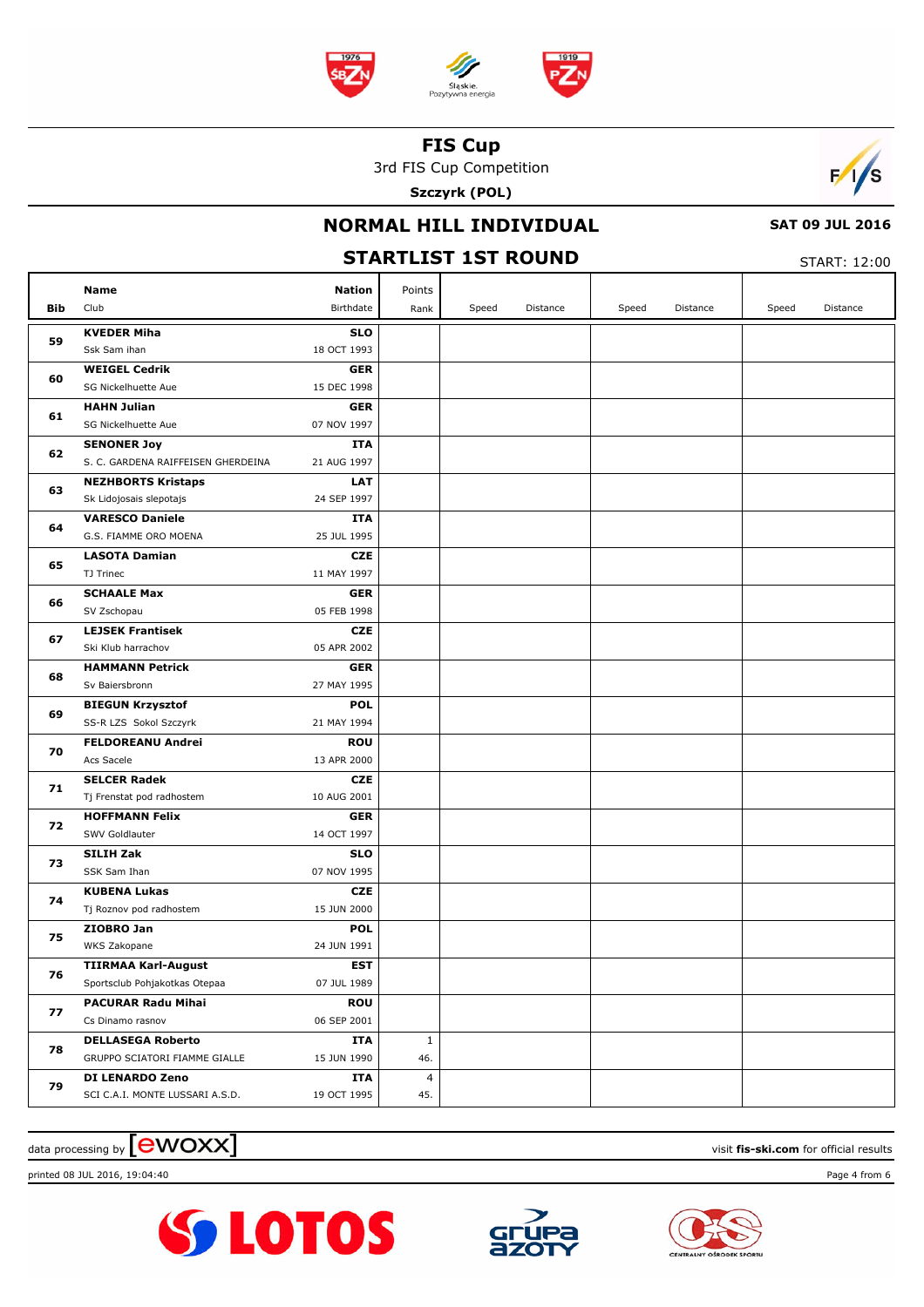

3rd FIS Cup Competition

**Szczyrk (POL)**



# **NORMAL HILL INDIVIDUAL**

 **SAT 09 JUL 2016**

| <b>STARTLIST 1ST ROUND</b> |                                                           |                           |                     |       |          |       |          |       | START: 12:00 |  |  |
|----------------------------|-----------------------------------------------------------|---------------------------|---------------------|-------|----------|-------|----------|-------|--------------|--|--|
|                            | Name                                                      | <b>Nation</b>             | Points              |       |          |       |          |       |              |  |  |
| Bib                        | Club                                                      | Birthdate                 | Rank                | Speed | Distance | Speed | Distance | Speed | Distance     |  |  |
|                            | <b>KVEDER Miha</b>                                        | <b>SLO</b>                |                     |       |          |       |          |       |              |  |  |
| 59                         | Ssk Sam ihan                                              | 18 OCT 1993               |                     |       |          |       |          |       |              |  |  |
| 60                         | <b>WEIGEL Cedrik</b>                                      | <b>GER</b>                |                     |       |          |       |          |       |              |  |  |
|                            | SG Nickelhuette Aue                                       | 15 DEC 1998               |                     |       |          |       |          |       |              |  |  |
| 61                         | <b>HAHN Julian</b>                                        | <b>GER</b>                |                     |       |          |       |          |       |              |  |  |
|                            | SG Nickelhuette Aue                                       | 07 NOV 1997               |                     |       |          |       |          |       |              |  |  |
| 62                         | <b>SENONER Joy</b>                                        | <b>ITA</b>                |                     |       |          |       |          |       |              |  |  |
|                            | S. C. GARDENA RAIFFEISEN GHERDEINA                        | 21 AUG 1997               |                     |       |          |       |          |       |              |  |  |
| 63                         | <b>NEZHBORTS Kristaps</b><br>Sk Lidojosais slepotajs      | <b>LAT</b><br>24 SEP 1997 |                     |       |          |       |          |       |              |  |  |
|                            | <b>VARESCO Daniele</b>                                    | ITA                       |                     |       |          |       |          |       |              |  |  |
| 64                         | G.S. FIAMME ORO MOENA                                     | 25 JUL 1995               |                     |       |          |       |          |       |              |  |  |
|                            | <b>LASOTA Damian</b>                                      | <b>CZE</b>                |                     |       |          |       |          |       |              |  |  |
| 65                         | TJ Trinec                                                 | 11 MAY 1997               |                     |       |          |       |          |       |              |  |  |
|                            | <b>SCHAALE Max</b>                                        | <b>GER</b>                |                     |       |          |       |          |       |              |  |  |
| 66                         | SV Zschopau                                               | 05 FEB 1998               |                     |       |          |       |          |       |              |  |  |
| 67                         | <b>LEJSEK Frantisek</b>                                   | <b>CZE</b>                |                     |       |          |       |          |       |              |  |  |
|                            | Ski Klub harrachov                                        | 05 APR 2002               |                     |       |          |       |          |       |              |  |  |
| 68                         | <b>HAMMANN Petrick</b>                                    | <b>GER</b>                |                     |       |          |       |          |       |              |  |  |
|                            | Sv Baiersbronn                                            | 27 MAY 1995               |                     |       |          |       |          |       |              |  |  |
| 69                         | <b>BIEGUN Krzysztof</b>                                   | <b>POL</b>                |                     |       |          |       |          |       |              |  |  |
|                            | SS-R LZS Sokol Szczyrk                                    | 21 MAY 1994               |                     |       |          |       |          |       |              |  |  |
| 70                         | <b>FELDOREANU Andrei</b><br>Acs Sacele                    | <b>ROU</b><br>13 APR 2000 |                     |       |          |       |          |       |              |  |  |
|                            | <b>SELCER Radek</b>                                       | <b>CZE</b>                |                     |       |          |       |          |       |              |  |  |
| 71                         | Tj Frenstat pod radhostem                                 | 10 AUG 2001               |                     |       |          |       |          |       |              |  |  |
|                            | <b>HOFFMANN Felix</b>                                     | <b>GER</b>                |                     |       |          |       |          |       |              |  |  |
| 72                         | SWV Goldlauter                                            | 14 OCT 1997               |                     |       |          |       |          |       |              |  |  |
|                            | <b>SILIH Zak</b>                                          | <b>SLO</b>                |                     |       |          |       |          |       |              |  |  |
| 73                         | SSK Sam Ihan                                              | 07 NOV 1995               |                     |       |          |       |          |       |              |  |  |
| 74                         | <b>KUBENA Lukas</b>                                       | <b>CZE</b>                |                     |       |          |       |          |       |              |  |  |
|                            | Tj Roznov pod radhostem                                   | 15 JUN 2000               |                     |       |          |       |          |       |              |  |  |
| 75                         | ZIOBRO Jan                                                | <b>POL</b>                |                     |       |          |       |          |       |              |  |  |
|                            | WKS Zakopane                                              | 24 JUN 1991               |                     |       |          |       |          |       |              |  |  |
| 76                         | <b>TIIRMAA Karl-August</b>                                | <b>EST</b>                |                     |       |          |       |          |       |              |  |  |
|                            | Sportsclub Pohjakotkas Otepaa                             | 07 JUL 1989               |                     |       |          |       |          |       |              |  |  |
| 77                         | <b>PACURAR Radu Mihai</b>                                 | <b>ROU</b>                |                     |       |          |       |          |       |              |  |  |
|                            | Cs Dinamo rasnov                                          | 06 SEP 2001               |                     |       |          |       |          |       |              |  |  |
| 78                         | <b>DELLASEGA Roberto</b><br>GRUPPO SCIATORI FIAMME GIALLE | ITA<br>15 JUN 1990        | $\mathbf{1}$<br>46. |       |          |       |          |       |              |  |  |
|                            | DI LENARDO Zeno                                           | ITA                       | 4                   |       |          |       |          |       |              |  |  |
| 79                         | SCI C.A.I. MONTE LUSSARI A.S.D.                           | 19 OCT 1995               | 45.                 |       |          |       |          |       |              |  |  |
|                            |                                                           |                           |                     |       |          |       |          |       |              |  |  |

## $\frac{1}{2}$  data processing by  $\boxed{\text{ewOX}}$

printed 08 JUL 2016, 19:04:40 Page 4 from 6





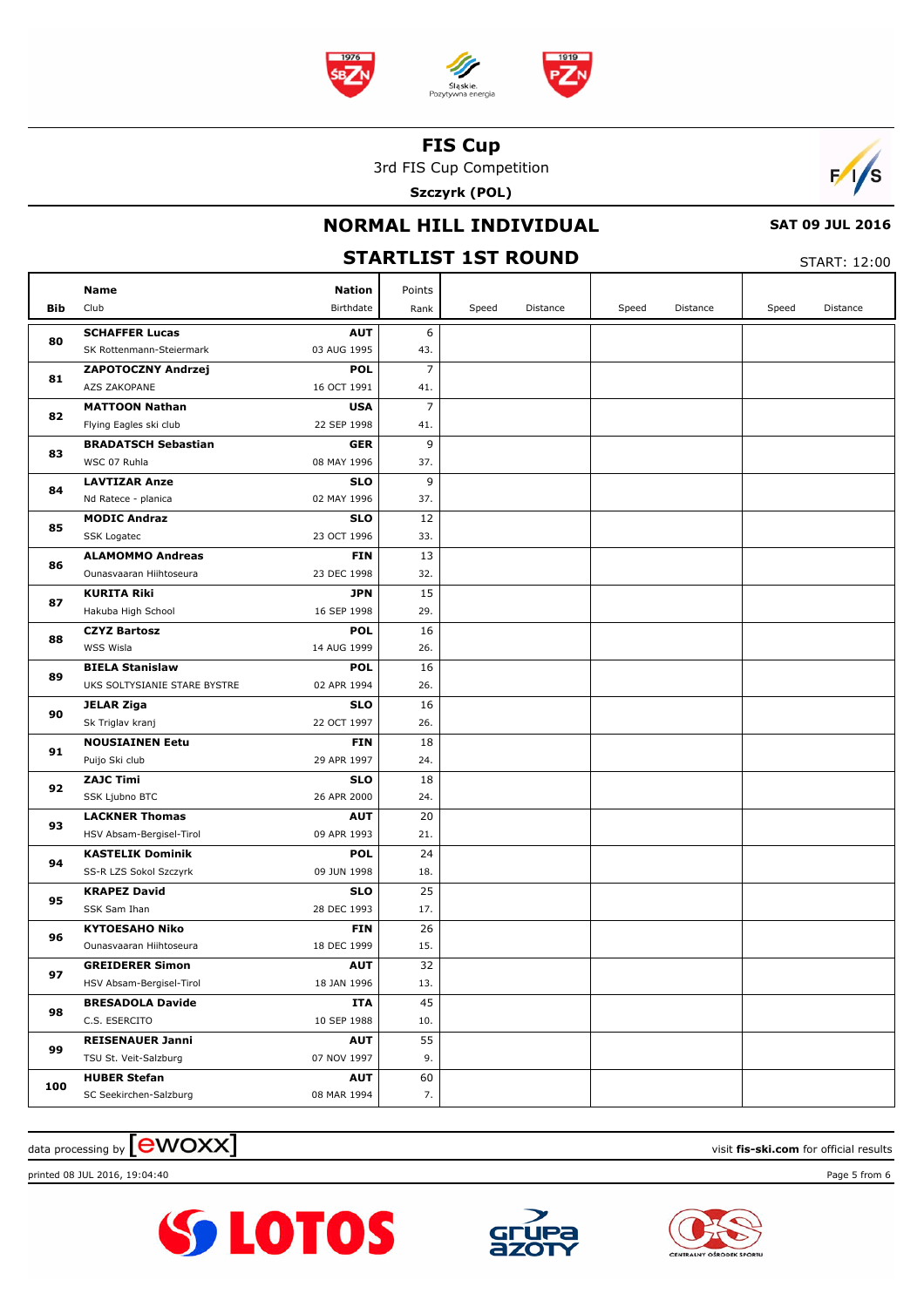

3rd FIS Cup Competition

**Szczyrk (POL)**



# **NORMAL HILL INDIVIDUAL**

 **SAT 09 JUL 2016**

|     | <b>STARTLIST 1ST ROUND</b>                         |                           |           |       |          |       |          |       |          |
|-----|----------------------------------------------------|---------------------------|-----------|-------|----------|-------|----------|-------|----------|
|     | Name                                               | <b>Nation</b>             | Points    |       |          |       |          |       |          |
| Bib | Club                                               | Birthdate                 | Rank      | Speed | Distance | Speed | Distance | Speed | Distance |
|     | <b>SCHAFFER Lucas</b>                              | <b>AUT</b>                | 6         |       |          |       |          |       |          |
| 80  | SK Rottenmann-Steiermark                           | 03 AUG 1995               | 43.       |       |          |       |          |       |          |
| 81  | ZAPOTOCZNY Andrzej                                 | <b>POL</b>                | 7         |       |          |       |          |       |          |
|     | AZS ZAKOPANE                                       | 16 OCT 1991               | 41.       |       |          |       |          |       |          |
| 82  | <b>MATTOON Nathan</b>                              | <b>USA</b>                | 7         |       |          |       |          |       |          |
|     | Flying Eagles ski club                             | 22 SEP 1998               | 41.       |       |          |       |          |       |          |
| 83  | <b>BRADATSCH Sebastian</b>                         | <b>GER</b>                | 9         |       |          |       |          |       |          |
|     | WSC 07 Ruhla                                       | 08 MAY 1996               | 37.       |       |          |       |          |       |          |
| 84  | <b>LAVTIZAR Anze</b>                               | <b>SLO</b>                | 9         |       |          |       |          |       |          |
|     | Nd Ratece - planica                                | 02 MAY 1996               | 37.       |       |          |       |          |       |          |
| 85  | <b>MODIC Andraz</b>                                | <b>SLO</b>                | 12        |       |          |       |          |       |          |
|     | SSK Logatec                                        | 23 OCT 1996               | 33.       |       |          |       |          |       |          |
| 86  | <b>ALAMOMMO Andreas</b><br>Ounasvaaran Hiihtoseura | <b>FIN</b><br>23 DEC 1998 | 13        |       |          |       |          |       |          |
|     | <b>KURITA Riki</b>                                 | <b>JPN</b>                | 32.<br>15 |       |          |       |          |       |          |
| 87  | Hakuba High School                                 | 16 SEP 1998               | 29.       |       |          |       |          |       |          |
|     | <b>CZYZ Bartosz</b>                                | <b>POL</b>                | 16        |       |          |       |          |       |          |
| 88  | WSS Wisla                                          | 14 AUG 1999               | 26.       |       |          |       |          |       |          |
|     | <b>BIELA Stanislaw</b>                             | <b>POL</b>                | 16        |       |          |       |          |       |          |
| 89  | UKS SOLTYSIANIE STARE BYSTRE                       | 02 APR 1994               | 26.       |       |          |       |          |       |          |
| 90  | <b>JELAR Ziga</b>                                  | <b>SLO</b>                | 16        |       |          |       |          |       |          |
|     | Sk Triglav kranj                                   | 22 OCT 1997               | 26.       |       |          |       |          |       |          |
| 91  | <b>NOUSIAINEN Eetu</b>                             | <b>FIN</b>                | 18        |       |          |       |          |       |          |
|     | Puijo Ski club                                     | 29 APR 1997               | 24.       |       |          |       |          |       |          |
| 92  | <b>ZAJC Timi</b>                                   | <b>SLO</b>                | 18        |       |          |       |          |       |          |
|     | SSK Ljubno BTC                                     | 26 APR 2000               | 24.       |       |          |       |          |       |          |
| 93  | <b>LACKNER Thomas</b>                              | <b>AUT</b>                | 20        |       |          |       |          |       |          |
|     | HSV Absam-Bergisel-Tirol                           | 09 APR 1993               | 21.       |       |          |       |          |       |          |
| 94  | <b>KASTELIK Dominik</b>                            | <b>POL</b>                | 24        |       |          |       |          |       |          |
|     | SS-R LZS Sokol Szczyrk                             | 09 JUN 1998               | 18.       |       |          |       |          |       |          |
| 95  | <b>KRAPEZ David</b>                                | <b>SLO</b>                | 25        |       |          |       |          |       |          |
|     | SSK Sam Ihan                                       | 28 DEC 1993               | 17.       |       |          |       |          |       |          |
| 96  | <b>KYTOESAHO Niko</b>                              | <b>FIN</b>                | 26        |       |          |       |          |       |          |
|     | Ounasvaaran Hiihtoseura<br><b>GREIDERER Simon</b>  | 18 DEC 1999<br><b>AUT</b> | 15.<br>32 |       |          |       |          |       |          |
| 97  | HSV Absam-Bergisel-Tirol                           | 18 JAN 1996               | 13.       |       |          |       |          |       |          |
|     | <b>BRESADOLA Davide</b>                            | ITA                       | 45        |       |          |       |          |       |          |
| 98  | C.S. ESERCITO                                      | 10 SEP 1988               | 10.       |       |          |       |          |       |          |
|     | <b>REISENAUER Janni</b>                            | <b>AUT</b>                | 55        |       |          |       |          |       |          |
| 99  | TSU St. Veit-Salzburg                              | 07 NOV 1997               | 9.        |       |          |       |          |       |          |
|     | <b>HUBER Stefan</b>                                | <b>AUT</b>                | 60        |       |          |       |          |       |          |
| 100 | SC Seekirchen-Salzburg                             | 08 MAR 1994               | 7.        |       |          |       |          |       |          |
|     |                                                    |                           |           |       |          |       |          |       |          |

## $\frac{1}{2}$  data processing by  $\boxed{\text{ewOX}}$

printed 08 JUL 2016, 19:04:40 Page 5 from 6

![](_page_4_Picture_10.jpeg)

![](_page_4_Picture_11.jpeg)

![](_page_4_Picture_12.jpeg)